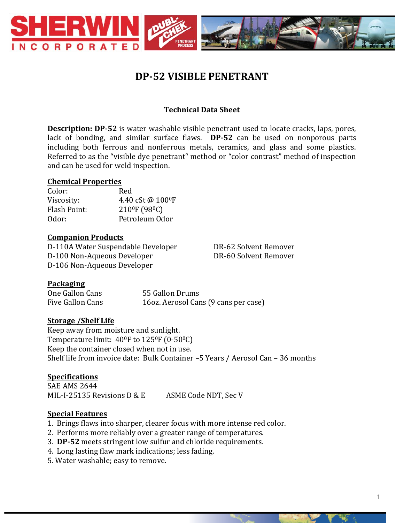

# **DP-52 VISIBLE PENETRANT**

# **Technical Data Sheet**

**Description: DP-52** is water washable visible penetrant used to locate cracks, laps, pores, lack of bonding, and similar surface flaws. **DP-52** can be used on nonporous parts including both ferrous and nonferrous metals, ceramics, and glass and some plastics. Referred to as the "visible dye penetrant" method or "color contrast" method of inspection and can be used for weld inspection.

#### **Chemical Properties**

| Color:       | Red                                    |
|--------------|----------------------------------------|
| Viscosity:   | 4.40 cSt @ 100ºF                       |
| Flash Point: | 210 <sup>°</sup> F (98 <sup>°</sup> C) |
| Odor:        | Petroleum Odor                         |

#### **Companion Products**

D-110A Water Suspendable Developer DR-62 Solvent Remover D-100 Non-Aqueous Developer DR-60 Solvent Remover D-106 Non-Aqueous Developer

## **Packaging**

One Gallon Cans 55 Gallon Drums Five Gallon Cans 16oz. Aerosol Cans (9 cans per case)

## **Storage /Shelf Life**

Keep away from moisture and sunlight. Temperature limit:  $40^{\circ}$ F to  $125^{\circ}$ F (0-50 $^{\circ}$ C) Keep the container closed when not in use. Shelf life from invoice date: Bulk Container –5 Years / Aerosol Can – 36 months

## **Specifications**

SAE AMS 2644 MIL-I-25135 Revisions D & E ASME Code NDT, Sec V

## **Special Features**

- 1. Brings flaws into sharper, clearer focus with more intense red color.
- 2. Performs more reliably over a greater range of temperatures.
- 3. **DP-52** meets stringent low sulfur and chloride requirements.
- 4. Long lasting flaw mark indications; less fading.
- 5. Water washable; easy to remove.